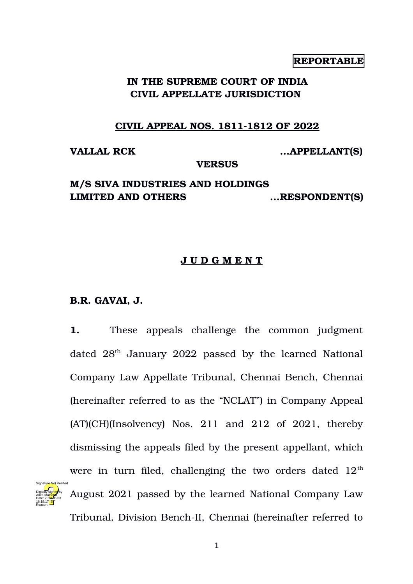## **REPORTABLE**

# **IN THE SUPREME COURT OF INDIA CIVIL APPELLATE JURISDICTION**

## **CIVIL APPEAL NOS. 1811-1812 OF 2022**

**VALLAL RCK ...APPELLANT(S)**

#### **VERSUS**

# **M/S SIVA INDUSTRIES AND HOLDINGS LIMITED AND OTHERS ...RESPONDENT(S)**

## **J U D G M E N T**

## **B.R. GAVAI, J.**

Digitally signed by Anita Mal<mark>hotr</mark>a Date: 2022.06.03 16:18:17 IST Reason:

**1.** These appeals challenge the common judgment dated 28<sup>th</sup> January 2022 passed by the learned National Company Law Appellate Tribunal, Chennai Bench, Chennai (hereinafter referred to as the "NCLAT") in Company Appeal  $(AT)(CH)(Insolvency)$  Nos. 211 and 212 of 2021, thereby dismissing the appeals filed by the present appellant, which were in turn filed, challenging the two orders dated  $12<sup>th</sup>$ August 2021 passed by the learned National Company Law Tribunal, Division Bench-II, Chennai (hereinafter referred to Signature Not Verified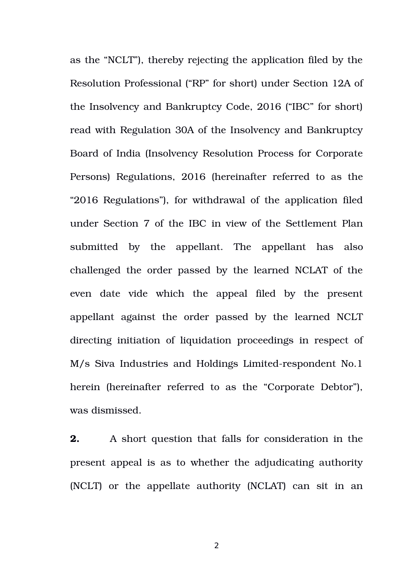as the "NCLT"), thereby rejecting the application filed by the Resolution Professional ("RP" for short) under Section 12A of the Insolvency and Bankruptcy Code, 2016 ("IBC" for short) read with Regulation 30A of the Insolvency and Bankruptcy Board of India (Insolvency Resolution Process for Corporate Persons) Regulations, 2016 (hereinafter referred to as the "2016 Regulations"), for withdrawal of the application filed under Section 7 of the IBC in view of the Settlement Plan submitted by the appellant. The appellant has also challenged the order passed by the learned NCLAT of the even date vide which the appeal filed by the present appellant against the order passed by the learned NCLT directing initiation of liquidation proceedings in respect of M/s Siva Industries and Holdings Limited-respondent No.1 herein (hereinafter referred to as the "Corporate Debtor"), was dismissed.

**2.** A short question that falls for consideration in the present appeal is as to whether the adjudicating authority (NCLT) or the appellate authority (NCLAT) can sit in an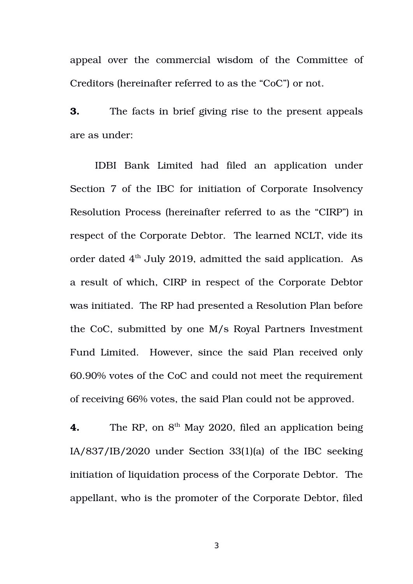appeal over the commercial wisdom of the Committee of Creditors (hereinafter referred to as the "CoC") or not.

**3.** The facts in brief giving rise to the present appeals are as under:

IDBI Bank Limited had filed an application under Section 7 of the IBC for initiation of Corporate Insolvency Resolution Process (hereinafter referred to as the "CIRP") in respect of the Corporate Debtor. The learned NCLT, vide its order dated  $4<sup>th</sup>$  July 2019, admitted the said application. As a result of which, CIRP in respect of the Corporate Debtor was initiated. The RP had presented a Resolution Plan before the CoC, submitted by one M/s Royal Partners Investment Fund Limited. However, since the said Plan received only 60.90% votes of the CoC and could not meet the requirement of receiving 66% votes, the said Plan could not be approved.

**4.** The RP, on 8<sup>th</sup> May 2020, filed an application being IA/837/IB/2020 under Section 33(1)(a) of the IBC seeking initiation of liquidation process of the Corporate Debtor. The appellant, who is the promoter of the Corporate Debtor, filed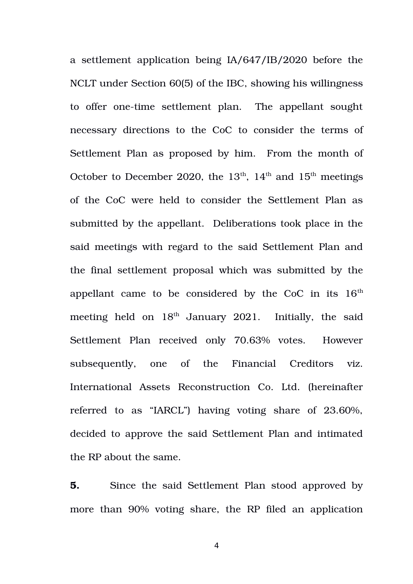a settlement application being IA/647/IB/2020 before the NCLT under Section 60(5) of the IBC, showing his willingness to offer one-time settlement plan. The appellant sought necessary directions to the CoC to consider the terms of Settlement Plan as proposed by him. From the month of October to December 2020, the  $13<sup>th</sup>$ ,  $14<sup>th</sup>$  and  $15<sup>th</sup>$  meetings of the CoC were held to consider the Settlement Plan as submitted by the appellant. Deliberations took place in the said meetings with regard to the said Settlement Plan and the final settlement proposal which was submitted by the appellant came to be considered by the  $CoC$  in its  $16<sup>th</sup>$ meeting held on  $18<sup>th</sup>$  January 2021. Initially, the said Settlement Plan received only 70.63% votes. However subsequently, one of the Financial Creditors viz. International Assets Reconstruction Co. Ltd. (hereinafter referred to as "IARCL") having voting share of 23.60%, decided to approve the said Settlement Plan and intimated the RP about the same.

**5.** Since the said Settlement Plan stood approved by more than 90% voting share, the RP filed an application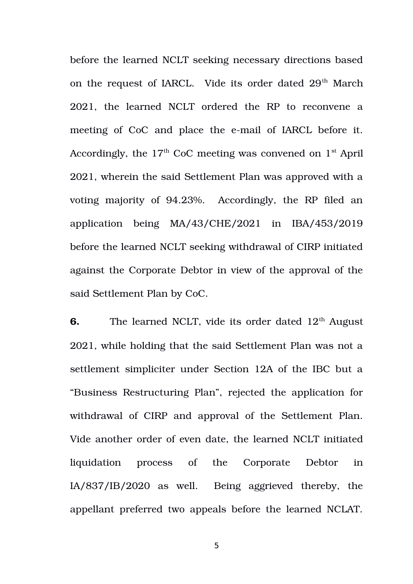before the learned NCLT seeking necessary directions based on the request of IARCL. Vide its order dated  $29<sup>th</sup>$  March 2021, the learned NCLT ordered the RP to reconvene a meeting of CoC and place the e-mail of IARCL before it. Accordingly, the  $17<sup>th</sup>$  CoC meeting was convened on  $1<sup>st</sup>$  April 2021, wherein the said Settlement Plan was approved with a voting majority of 94.23%. Accordingly, the RP filed an application being MA/43/CHE/2021 in IBA/453/2019 before the learned NCLT seeking withdrawal of CIRP initiated against the Corporate Debtor in view of the approval of the said Settlement Plan by CoC.

**6.** The learned NCLT, vide its order dated 12<sup>th</sup> August 2021, while holding that the said Settlement Plan was not a settlement simpliciter under Section 12A of the IBC but a "Business Restructuring Plan", rejected the application for withdrawal of CIRP and approval of the Settlement Plan. Vide another order of even date, the learned NCLT initiated liquidation process of the Corporate Debtor in IA/837/IB/2020 as well. Being aggrieved thereby, the appellant preferred two appeals before the learned NCLAT.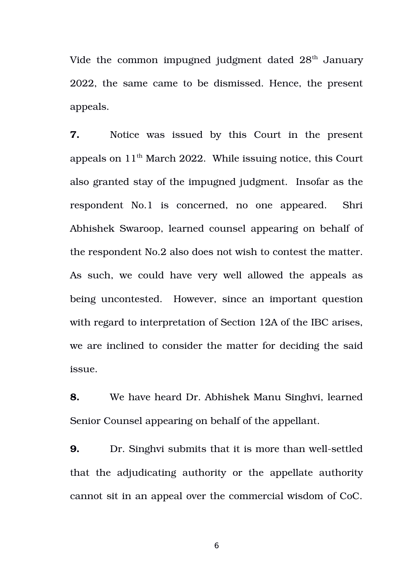Vide the common impugned judgment dated  $28<sup>th</sup>$  January 2022, the same came to be dismissed. Hence, the present appeals.

**7.** Notice was issued by this Court in the present appeals on  $11<sup>th</sup>$  March 2022. While issuing notice, this Court also granted stay of the impugned judgment. Insofar as the respondent No.1 is concerned, no one appeared. Shri Abhishek Swaroop, learned counsel appearing on behalf of the respondent No.2 also does not wish to contest the matter. As such, we could have very well allowed the appeals as being uncontested. However, since an important question with regard to interpretation of Section 12A of the IBC arises, we are inclined to consider the matter for deciding the said issue.

**8.** We have heard Dr. Abhishek Manu Singhvi, learned Senior Counsel appearing on behalf of the appellant.

**9.** Dr. Singhvi submits that it is more than well-settled that the adjudicating authority or the appellate authority cannot sit in an appeal over the commercial wisdom of CoC.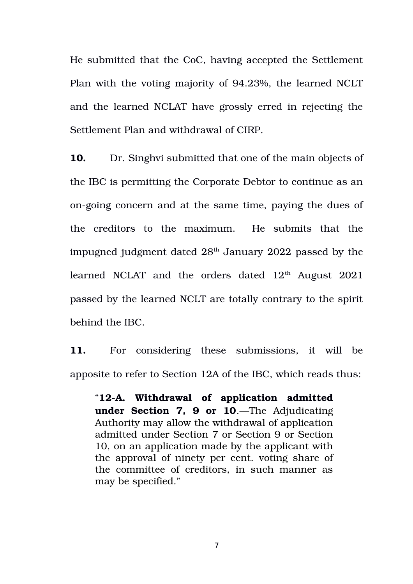He submitted that the CoC, having accepted the Settlement Plan with the voting majority of 94.23%, the learned NCLT and the learned NCLAT have grossly erred in rejecting the Settlement Plan and withdrawal of CIRP.

**10.** Dr. Singhvi submitted that one of the main objects of the IBC is permitting the Corporate Debtor to continue as an on-going concern and at the same time, paying the dues of the creditors to the maximum. He submits that the impugned judgment dated  $28<sup>th</sup>$  January 2022 passed by the learned NCLAT and the orders dated  $12<sup>th</sup>$  August 2021 passed by the learned NCLT are totally contrary to the spirit behind the IBC.

11. For considering these submissions, it will be apposite to refer to Section 12A of the IBC, which reads thus:

"**[12A. Withdrawal of application admitted](https://www.scconline.com/Members/BrowseResult.aspx#BS012A) [under Section 7, 9 or 10](https://www.scconline.com/Members/BrowseResult.aspx#BS012A)**.—The Adjudicating Authority may allow the withdrawal of application admitted under Section 7 or Section 9 or Section 10, on an application made by the applicant with the approval of ninety per cent. voting share of the committee of creditors, in such manner as may be specified."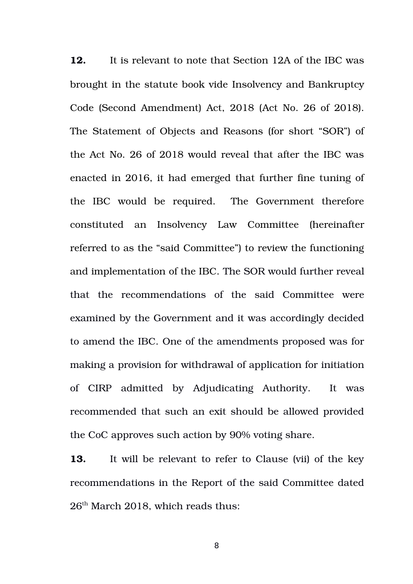**12.** It is relevant to note that Section 12A of the IBC was brought in the statute book vide Insolvency and Bankruptcy Code (Second Amendment) Act, 2018 (Act No. 26 of 2018). The Statement of Objects and Reasons (for short "SOR") of the Act No. 26 of 2018 would reveal that after the IBC was enacted in 2016, it had emerged that further fine tuning of the IBC would be required. The Government therefore constituted an Insolvency Law Committee (hereinafter referred to as the "said Committee") to review the functioning and implementation of the IBC. The SOR would further reveal that the recommendations of the said Committee were examined by the Government and it was accordingly decided to amend the IBC. One of the amendments proposed was for making a provision for withdrawal of application for initiation of CIRP admitted by Adjudicating Authority. It was recommended that such an exit should be allowed provided the CoC approves such action by 90% voting share.

**13.** It will be relevant to refer to Clause (vii) of the key recommendations in the Report of the said Committee dated 26<sup>th</sup> March 2018, which reads thus: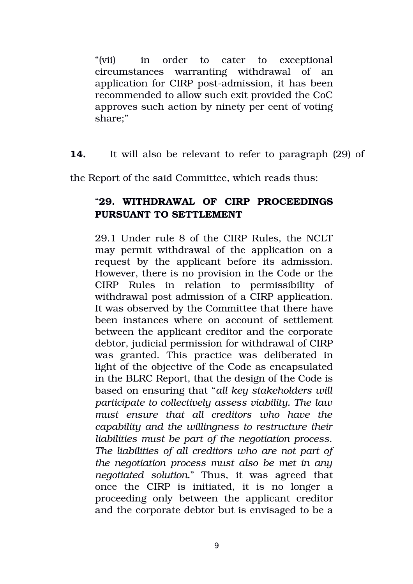"(vii) in order to cater to exceptional circumstances warranting withdrawal of an application for CIRP post-admission, it has been recommended to allow such exit provided the CoC approves such action by ninety per cent of voting share;"

**14.** It will also be relevant to refer to paragraph (29) of

the Report of the said Committee, which reads thus:

# "**29. WITHDRAWAL OF CIRP PROCEEDINGS PURSUANT TO SETTLEMENT**

29.1 Under rule 8 of the CIRP Rules, the NCLT may permit withdrawal of the application on a request by the applicant before its admission. However, there is no provision in the Code or the CIRP Rules in relation to permissibility of withdrawal post admission of a CIRP application. It was observed by the Committee that there have been instances where on account of settlement between the applicant creditor and the corporate debtor, judicial permission for withdrawal of CIRP was granted. This practice was deliberated in light of the objective of the Code as encapsulated in the BLRC Report, that the design of the Code is based on ensuring that "*all key stakeholders will participate to collectively assess viability. The law must ensure that all creditors who have the capability and the willingness to restructure their liabilities must be part of the negotiation process. The liabilities of all creditors who are not part of the negotiation process must also be met in any negotiated solution.*" Thus, it was agreed that once the CIRP is initiated, it is no longer a proceeding only between the applicant creditor and the corporate debtor but is envisaged to be a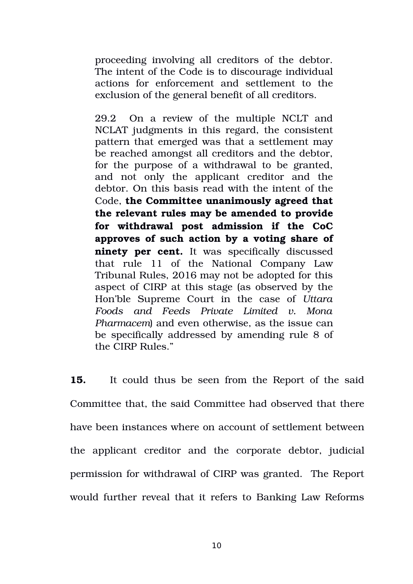proceeding involving all creditors of the debtor. The intent of the Code is to discourage individual actions for enforcement and settlement to the exclusion of the general benefit of all creditors.

29.2 On a review of the multiple NCLT and NCLAT judgments in this regard, the consistent pattern that emerged was that a settlement may be reached amongst all creditors and the debtor, for the purpose of a withdrawal to be granted, and not only the applicant creditor and the debtor. On this basis read with the intent of the Code, **the Committee unanimously agreed that the relevant rules may be amended to provide for withdrawal post admission if the CoC approves of such action by a voting share of ninety per cent.** It was specifically discussed that rule 11 of the National Company Law Tribunal Rules, 2016 may not be adopted for this aspect of CIRP at this stage (as observed by the Hon'ble Supreme Court in the case of *Uttara Foods and Feeds Private Limited v. Mona Pharmacem*) and even otherwise, as the issue can be specifically addressed by amending rule 8 of the CIRP Rules."

**15.** It could thus be seen from the Report of the said Committee that, the said Committee had observed that there have been instances where on account of settlement between the applicant creditor and the corporate debtor, judicial permission for withdrawal of CIRP was granted. The Report would further reveal that it refers to Banking Law Reforms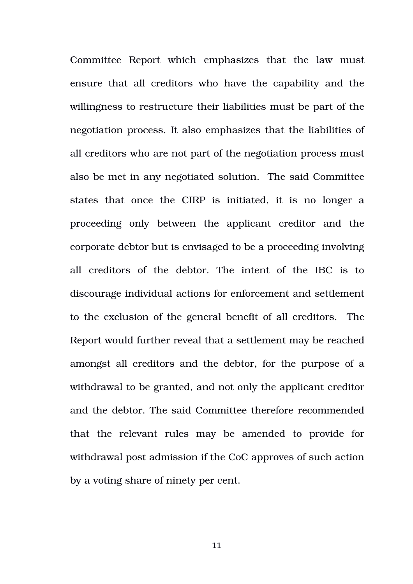Committee Report which emphasizes that the law must ensure that all creditors who have the capability and the willingness to restructure their liabilities must be part of the negotiation process. It also emphasizes that the liabilities of all creditors who are not part of the negotiation process must also be met in any negotiated solution. The said Committee states that once the CIRP is initiated, it is no longer a proceeding only between the applicant creditor and the corporate debtor but is envisaged to be a proceeding involving all creditors of the debtor. The intent of the IBC is to discourage individual actions for enforcement and settlement to the exclusion of the general benefit of all creditors. The Report would further reveal that a settlement may be reached amongst all creditors and the debtor, for the purpose of a withdrawal to be granted, and not only the applicant creditor and the debtor. The said Committee therefore recommended that the relevant rules may be amended to provide for withdrawal post admission if the CoC approves of such action by a voting share of ninety per cent.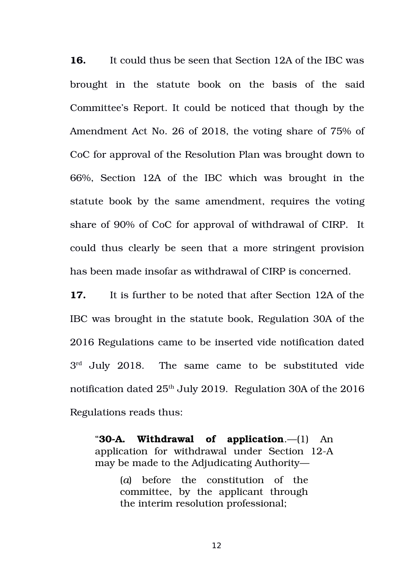**16.** It could thus be seen that Section 12A of the IBC was brought in the statute book on the basis of the said Committee's Report. It could be noticed that though by the Amendment Act No. 26 of 2018, the voting share of 75% of CoC for approval of the Resolution Plan was brought down to 66%, Section 12A of the IBC which was brought in the statute book by the same amendment, requires the voting share of 90% of CoC for approval of withdrawal of CIRP. It could thus clearly be seen that a more stringent provision has been made insofar as withdrawal of CIRP is concerned.

**17.** It is further to be noted that after Section 12A of the IBC was brought in the statute book, Regulation 30A of the 2016 Regulations came to be inserted vide notification dated  $3<sup>rd</sup>$  July 2018. The same came to be substituted vide notification dated  $25<sup>th</sup>$  July 2019. Regulation 30A of the 2016 Regulations reads thus:

"**30A. Withdrawal of application**.—(1) An application for withdrawal under Section 12-A may be made to the Adjudicating Authority—

> (*a*) before the constitution of the committee, by the applicant through the interim resolution professional;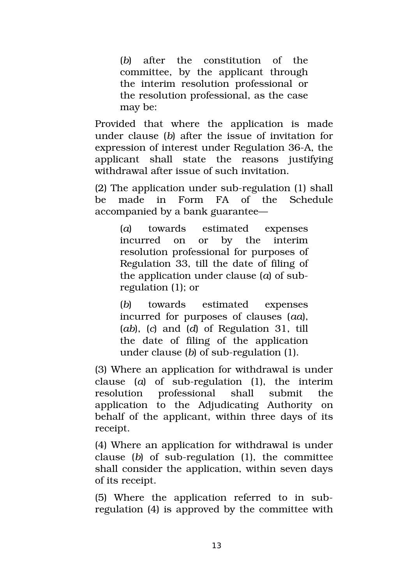(b) after the constitution of the committee, by the applicant through the interim resolution professional or the resolution professional, as the case may be:

Provided that where the application is made under clause (*b*) after the issue of invitation for expression of interest under Regulation 36-A, the applicant shall state the reasons justifying withdrawal after issue of such invitation.

 $(2)$  The application under sub-regulation  $(1)$  shall be made in Form FA of the Schedule accompanied by a bank guarantee—

> (*a*) towards estimated expenses incurred on or by the interim resolution professional for purposes of Regulation 33, till the date of filing of the application under clause (*a*) of subregulation (1); or

> (*b*) towards estimated expenses incurred for purposes of clauses (*aa*), (*ab*), (*c*) and (*d*) of Regulation 31, till the date of filing of the application under clause (*b*) of sub-regulation (1).

(3) Where an application for withdrawal is under clause  $(a)$  of sub-regulation  $(1)$ , the interim resolution professional shall submit the application to the Adjudicating Authority on behalf of the applicant, within three days of its receipt.

(4) Where an application for withdrawal is under clause  $(b)$  of sub-regulation  $(1)$ , the committee shall consider the application, within seven days of its receipt.

(5) Where the application referred to in subregulation (4) is approved by the committee with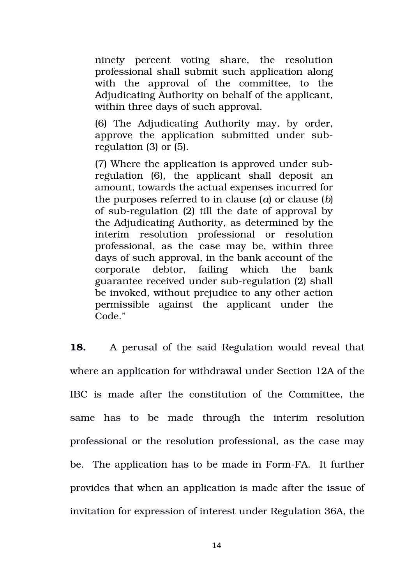ninety percent voting share, the resolution professional shall submit such application along with the approval of the committee, to the Adjudicating Authority on behalf of the applicant, within three days of such approval.

(6) The Adjudicating Authority may, by order, approve the application submitted under subregulation (3) or (5).

(7) Where the application is approved under subregulation (6), the applicant shall deposit an amount, towards the actual expenses incurred for the purposes referred to in clause (*a*) or clause (*b*) of sub-regulation  $(2)$  till the date of approval by the Adjudicating Authority, as determined by the interim resolution professional or resolution professional, as the case may be, within three days of such approval, in the bank account of the corporate debtor, failing which the bank guarantee received under sub-regulation (2) shall be invoked, without prejudice to any other action permissible against the applicant under the Code."

**18.** A perusal of the said Regulation would reveal that where an application for withdrawal under Section 12A of the IBC is made after the constitution of the Committee, the same has to be made through the interim resolution professional or the resolution professional, as the case may be. The application has to be made in Form-FA. It further provides that when an application is made after the issue of invitation for expression of interest under Regulation 36A, the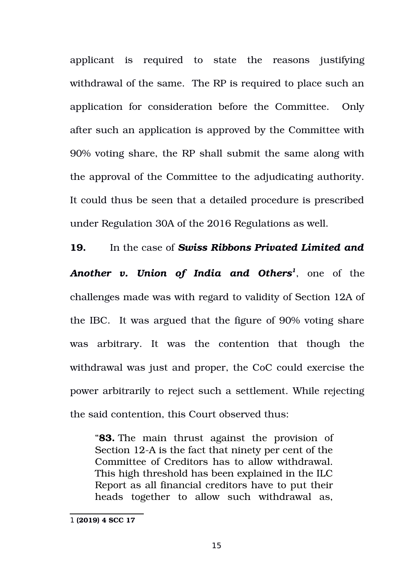applicant is required to state the reasons justifying withdrawal of the same. The RP is required to place such an application for consideration before the Committee. Only after such an application is approved by the Committee with 90% voting share, the RP shall submit the same along with the approval of the Committee to the adjudicating authority. It could thus be seen that a detailed procedure is prescribed under Regulation 30A of the 2016 Regulations as well.

**19.** In the case of *Swiss Ribbons Privated Limited and Another v. Union of India and Others[1](#page-14-0)* , one of the challenges made was with regard to validity of Section 12A of the IBC. It was argued that the figure of 90% voting share was arbitrary. It was the contention that though the withdrawal was just and proper, the CoC could exercise the power arbitrarily to reject such a settlement. While rejecting the said contention, this Court observed thus:

"**83.** The main thrust against the provision of Section 12-A is the fact that ninety per cent of the Committee of Creditors has to allow withdrawal. This high threshold has been explained in the ILC Report as all financial creditors have to put their heads together to allow such withdrawal as,

<span id="page-14-0"></span><sup>1</sup> **(2019) 4 SCC 17**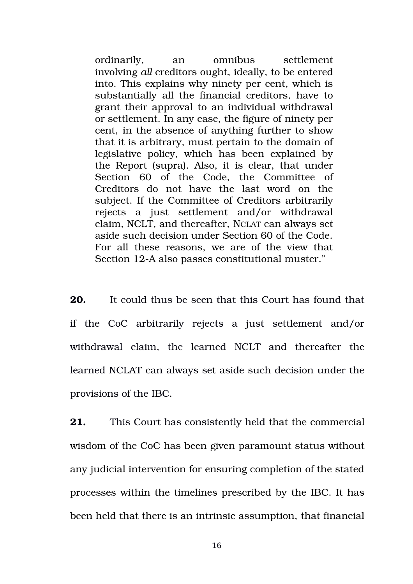ordinarily, an omnibus settlement involving *all* creditors ought, ideally, to be entered into. This explains why ninety per cent, which is substantially all the financial creditors, have to grant their approval to an individual withdrawal or settlement. In any case, the figure of ninety per cent, in the absence of anything further to show that it is arbitrary, must pertain to the domain of legislative policy, which has been explained by the Report (supra). Also, it is clear, that under Section 60 of the Code, the Committee of Creditors do not have the last word on the subject. If the Committee of Creditors arbitrarily rejects a just settlement and/or withdrawal claim, NCLT, and thereafter, NCLAT can always set aside such decision under Section 60 of the Code. For all these reasons, we are of the view that Section 12-A also passes constitutional muster."

**20.** It could thus be seen that this Court has found that if the CoC arbitrarily rejects a just settlement and/or withdrawal claim, the learned NCLT and thereafter the learned NCLAT can always set aside such decision under the provisions of the IBC.

**21.** This Court has consistently held that the commercial wisdom of the CoC has been given paramount status without any judicial intervention for ensuring completion of the stated processes within the timelines prescribed by the IBC. It has been held that there is an intrinsic assumption, that financial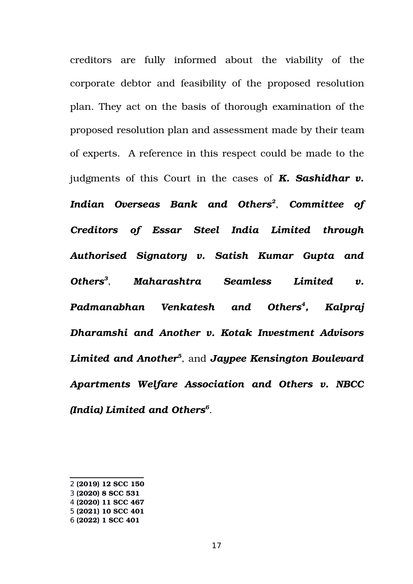creditors are fully informed about the viability of the corporate debtor and feasibility of the proposed resolution plan. They act on the basis of thorough examination of the proposed resolution plan and assessment made by their team of experts. A reference in this respect could be made to the judgments of this Court in the cases of *K. Sashidhar v. Indian Overseas Bank and Others[2](#page-16-0)* , *Committee of Creditors of Essar Steel India Limited through Authorised Signatory v. Satish Kumar Gupta and Others[3](#page-16-1)* , *Maharashtra Seamless Limited v. Padmanabhan Venkatesh and Others[4](#page-16-2) , Kalpraj Dharamshi and Another v. Kotak Investment Advisors Limited and Another[5](#page-16-3)* , and *Jaypee Kensington Boulevard Apartments Welfare Association and Others v. NBCC (India) Limited and Others[6](#page-16-4)* .

<span id="page-16-0"></span><sup>2</sup> **(2019) 12 SCC 150**

<span id="page-16-1"></span><sup>3</sup> **(2020) 8 SCC 531**

<span id="page-16-2"></span><sup>4</sup> **(2020) 11 SCC 467**

<span id="page-16-3"></span><sup>5</sup> **(2021) 10 SCC 401**

<span id="page-16-4"></span><sup>6</sup> **(2022) 1 SCC 401**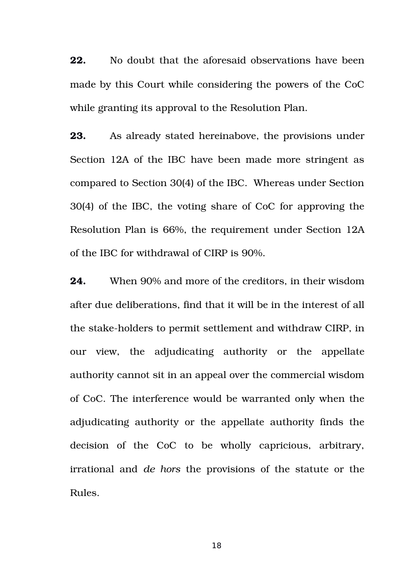**22.** No doubt that the aforesaid observations have been made by this Court while considering the powers of the CoC while granting its approval to the Resolution Plan.

**23.** As already stated hereinabove, the provisions under Section 12A of the IBC have been made more stringent as compared to Section 30(4) of the IBC. Whereas under Section 30(4) of the IBC, the voting share of CoC for approving the Resolution Plan is 66%, the requirement under Section 12A of the IBC for withdrawal of CIRP is 90%.

**24.** When 90% and more of the creditors, in their wisdom after due deliberations, find that it will be in the interest of all the stake-holders to permit settlement and withdraw CIRP, in our view, the adjudicating authority or the appellate authority cannot sit in an appeal over the commercial wisdom of CoC. The interference would be warranted only when the adjudicating authority or the appellate authority finds the decision of the CoC to be wholly capricious, arbitrary, irrational and *de hors* the provisions of the statute or the Rules.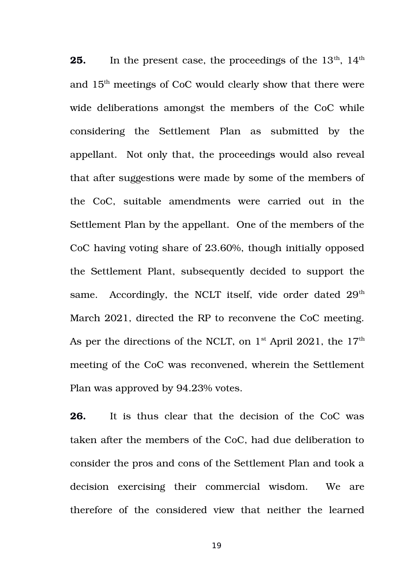**25.** In the present case, the proceedings of the 13<sup>th</sup>, 14<sup>th</sup> and 15th meetings of CoC would clearly show that there were wide deliberations amongst the members of the CoC while considering the Settlement Plan as submitted by the appellant. Not only that, the proceedings would also reveal that after suggestions were made by some of the members of the CoC, suitable amendments were carried out in the Settlement Plan by the appellant. One of the members of the CoC having voting share of 23.60%, though initially opposed the Settlement Plant, subsequently decided to support the same. Accordingly, the NCLT itself, vide order dated  $29<sup>th</sup>$ March 2021, directed the RP to reconvene the CoC meeting. As per the directions of the NCLT, on  $1<sup>st</sup>$  April 2021, the  $17<sup>th</sup>$ meeting of the CoC was reconvened, wherein the Settlement Plan was approved by 94.23% votes.

**26.** It is thus clear that the decision of the CoC was taken after the members of the CoC, had due deliberation to consider the pros and cons of the Settlement Plan and took a decision exercising their commercial wisdom. We are therefore of the considered view that neither the learned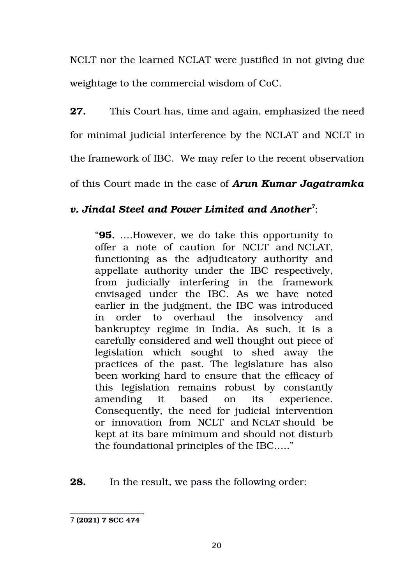NCLT nor the learned NCLAT were justified in not giving due weightage to the commercial wisdom of CoC.

**27.** This Court has, time and again, emphasized the need for minimal judicial interference by the NCLAT and NCLT in the framework of IBC. We may refer to the recent observation

of this Court made in the case of *Arun Kumar Jagatramka*

# *v. Jindal Steel and Power Limited and Another[7](#page-19-0)* :

"**95.** ….However, we do take this opportunity to offer a note of caution for NCLT and NCLAT. functioning as the adjudicatory authority and appellate authority under the IBC respectively, from judicially interfering in the framework envisaged under the IBC. As we have noted earlier in the judgment, the IBC was introduced in order to overhaul the insolvency and bankruptcy regime in India. As such, it is a carefully considered and well thought out piece of legislation which sought to shed away the practices of the past. The legislature has also been working hard to ensure that the efficacy of this legislation remains robust by constantly amending it based on its experience. Consequently, the need for judicial intervention or innovation from NCLT and NCLAT should be kept at its bare minimum and should not disturb the foundational principles of the IBC….."

**28.** In the result, we pass the following order:

<span id="page-19-0"></span><sup>7</sup> **(2021) 7 SCC 474**